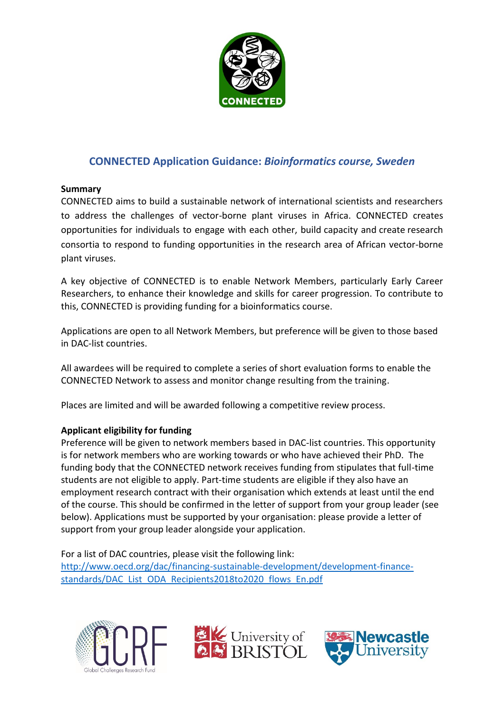

# **CONNECTED Application Guidance:** *Bioinformatics course, Sweden*

## **Summary**

CONNECTED aims to build a sustainable network of international scientists and researchers to address the challenges of vector-borne plant viruses in Africa. CONNECTED creates opportunities for individuals to engage with each other, build capacity and create research consortia to respond to funding opportunities in the research area of African vector-borne plant viruses.

A key objective of CONNECTED is to enable Network Members, particularly Early Career Researchers, to enhance their knowledge and skills for career progression. To contribute to this, CONNECTED is providing funding for a bioinformatics course.

Applications are open to all Network Members, but preference will be given to those based in DAC-list countries.

All awardees will be required to complete a series of short evaluation forms to enable the CONNECTED Network to assess and monitor change resulting from the training.

Places are limited and will be awarded following a competitive review process.

## **Applicant eligibility for funding**

Preference will be given to network members based in DAC-list countries. This opportunity is for network members who are working towards or who have achieved their PhD. The funding body that the CONNECTED network receives funding from stipulates that full-time students are not eligible to apply. Part-time students are eligible if they also have an employment research contract with their organisation which extends at least until the end of the course. This should be confirmed in the letter of support from your group leader (see below). Applications must be supported by your organisation: please provide a letter of support from your group leader alongside your application.

For a list of DAC countries, please visit the following link: [http://www.oecd.org/dac/financing-sustainable-development/development-finance](http://www.oecd.org/dac/financing-sustainable-development/development-finance-standards/DAC_List_ODA_Recipients2018to2020_flows_En.pdf)[standards/DAC\\_List\\_ODA\\_Recipients2018to2020\\_flows\\_En.pdf](http://www.oecd.org/dac/financing-sustainable-development/development-finance-standards/DAC_List_ODA_Recipients2018to2020_flows_En.pdf)





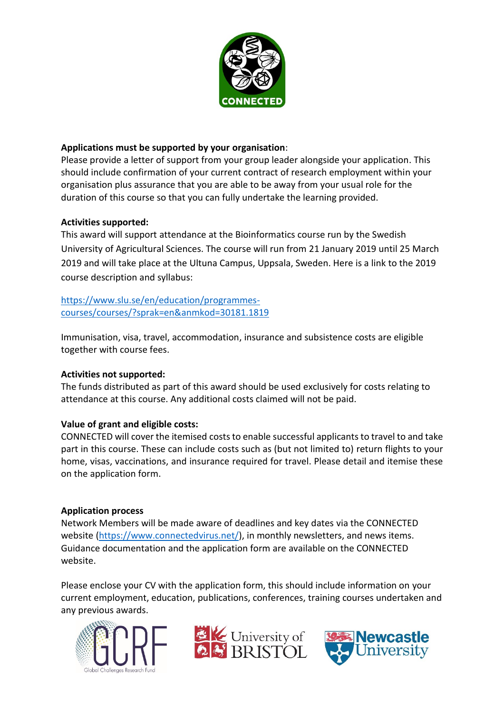

## **Applications must be supported by your organisation**:

Please provide a letter of support from your group leader alongside your application. This should include confirmation of your current contract of research employment within your organisation plus assurance that you are able to be away from your usual role for the duration of this course so that you can fully undertake the learning provided.

## **Activities supported:**

This award will support attendance at the Bioinformatics course run by the Swedish University of Agricultural Sciences. The course will run from 21 January 2019 until 25 March 2019 and will take place at the Ultuna Campus, Uppsala, Sweden. Here is a link to the 2019 course description and syllabus:

[https://www.slu.se/en/education/programmes](https://www.slu.se/en/education/programmes-courses/courses/?sprak=en&anmkod=30181.1819)[courses/courses/?sprak=en&anmkod=30181.1819](https://www.slu.se/en/education/programmes-courses/courses/?sprak=en&anmkod=30181.1819)

Immunisation, visa, travel, accommodation, insurance and subsistence costs are eligible together with course fees.

## **Activities not supported:**

The funds distributed as part of this award should be used exclusively for costs relating to attendance at this course. Any additional costs claimed will not be paid.

## **Value of grant and eligible costs:**

CONNECTED will cover the itemised costs to enable successful applicants to travel to and take part in this course. These can include costs such as (but not limited to) return flights to your home, visas, vaccinations, and insurance required for travel. Please detail and itemise these on the application form.

## **Application process**

Network Members will be made aware of deadlines and key dates via the CONNECTED website [\(https://www.connectedvirus.net/\)](https://www.connectedvirus.net/), in monthly newsletters, and news items. Guidance documentation and the application form are available on the CONNECTED website.

Please enclose your CV with the application form, this should include information on your current employment, education, publications, conferences, training courses undertaken and any previous awards.





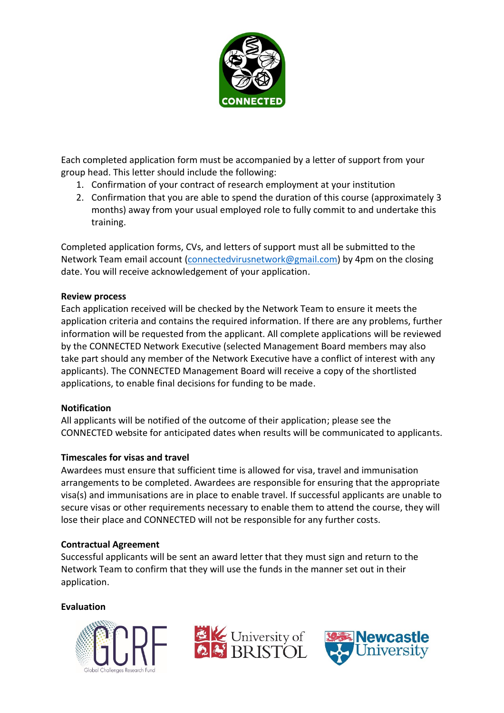

Each completed application form must be accompanied by a letter of support from your group head. This letter should include the following:

- 1. Confirmation of your contract of research employment at your institution
- 2. Confirmation that you are able to spend the duration of this course (approximately 3 months) away from your usual employed role to fully commit to and undertake this training.

Completed application forms, CVs, and letters of support must all be submitted to the Network Team email account [\(connectedvirusnetwork@gmail.com\)](mailto:connectedvirusnetwork@gmail.com) by 4pm on the closing date. You will receive acknowledgement of your application.

## **Review process**

Each application received will be checked by the Network Team to ensure it meets the application criteria and contains the required information. If there are any problems, further information will be requested from the applicant. All complete applications will be reviewed by the CONNECTED Network Executive (selected Management Board members may also take part should any member of the Network Executive have a conflict of interest with any applicants). The CONNECTED Management Board will receive a copy of the shortlisted applications, to enable final decisions for funding to be made.

## **Notification**

All applicants will be notified of the outcome of their application; please see the CONNECTED website for anticipated dates when results will be communicated to applicants.

## **Timescales for visas and travel**

Awardees must ensure that sufficient time is allowed for visa, travel and immunisation arrangements to be completed. Awardees are responsible for ensuring that the appropriate visa(s) and immunisations are in place to enable travel. If successful applicants are unable to secure visas or other requirements necessary to enable them to attend the course, they will lose their place and CONNECTED will not be responsible for any further costs.

## **Contractual Agreement**

Successful applicants will be sent an award letter that they must sign and return to the Network Team to confirm that they will use the funds in the manner set out in their application.

## **Evaluation**